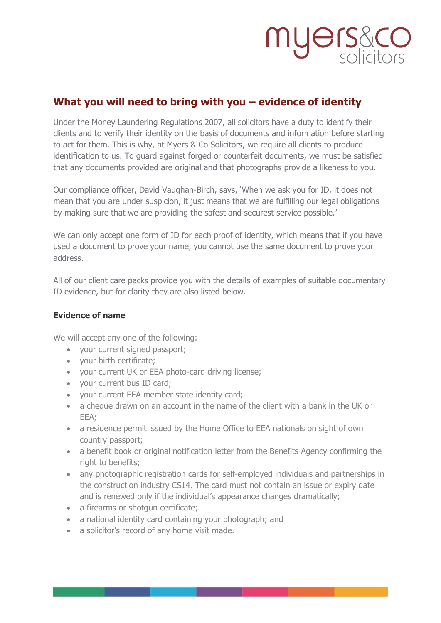# myers&co

### **What you will need to bring with you – evidence of identity**

Under the Money Laundering Regulations 2007, all solicitors have a duty to identify their clients and to verify their identity on the basis of documents and information before starting to act for them. This is why, at Myers & Co Solicitors, we require all clients to produce identification to us. To guard against forged or counterfeit documents, we must be satisfied that any documents provided are original and that photographs provide a likeness to you.

Our compliance officer, David Vaughan-Birch, says, 'When we ask you for ID, it does not mean that you are under suspicion, it just means that we are fulfilling our legal obligations by making sure that we are providing the safest and securest service possible.'

We can only accept one form of ID for each proof of identity, which means that if you have used a document to prove your name, you cannot use the same document to prove your address.

All of our client care packs provide you with the details of examples of suitable documentary ID evidence, but for clarity they are also listed below.

### **Evidence of name**

We will accept any one of the following:

- your current signed passport;
- your birth certificate;
- your current UK or EEA photo-card driving license;
- your current bus ID card;
- your current EEA member state identity card;
- a cheque drawn on an account in the name of the client with a bank in the UK or EEA;
- a residence permit issued by the Home Office to EEA nationals on sight of own country passport;
- a benefit book or original notification letter from the Benefits Agency confirming the right to benefits;
- any photographic registration cards for self-employed individuals and partnerships in the construction industry CS14. The card must not contain an issue or expiry date and is renewed only if the individual's appearance changes dramatically;
- a firearms or shotgun certificate;
- a national identity card containing your photograph; and
- a solicitor's record of any home visit made.